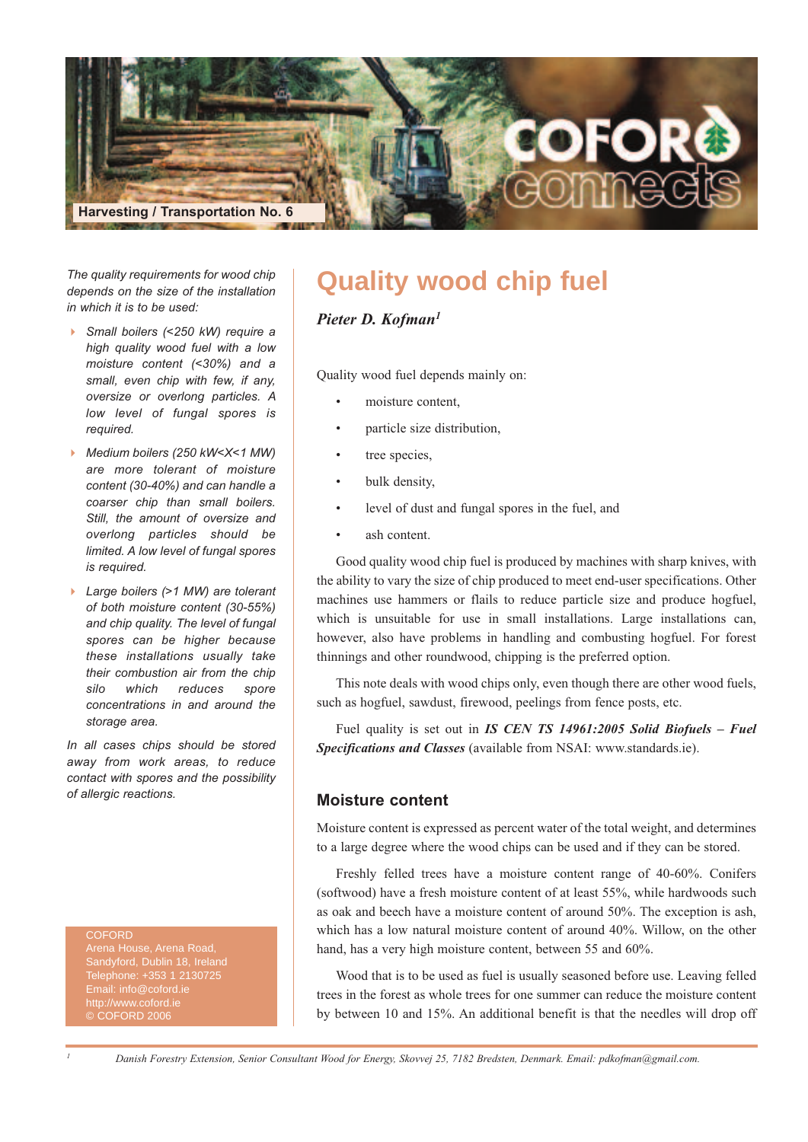

*The quality requirements for wood chip depends on the size of the installation in which it is to be used:*

- $\blacktriangleright$  *Small boilers (<250 kW) require a high quality wood fuel with a low moisture content (<30%) and a small, even chip with few, if any, oversize or overlong particles. A low level of fungal spores is required.*
- *Medium boilers (250 kW<X<1 MW) are more tolerant of moisture content (30-40%) and can handle a coarser chip than small boilers. Still, the amount of oversize and overlong particles should be limited. A low level of fungal spores is required.*
- *Large boilers (>1 MW) are tolerant of both moisture content (30-55%) and chip quality. The level of fungal spores can be higher because these installations usually take their combustion air from the chip silo which reduces spore concentrations in and around the storage area.*

*In all cases chips should be stored away from work areas, to reduce contact with spores and the possibility of allergic reactions.*

#### **COEORD**

Arena House, Arena Road, Telephone: +353 1 2130725 Email: info@coford.ie © COFORD 2006

# **Quality wood chip fuel**

*Pieter D. Kofman1*

Quality wood fuel depends mainly on:

- moisture content,
- particle size distribution,
- tree species,
- bulk density,
- level of dust and fungal spores in the fuel, and
- ash content.

Good quality wood chip fuel is produced by machines with sharp knives, with the ability to vary the size of chip produced to meet end-user specifications. Other machines use hammers or flails to reduce particle size and produce hogfuel, which is unsuitable for use in small installations. Large installations can, however, also have problems in handling and combusting hogfuel. For forest thinnings and other roundwood, chipping is the preferred option.

This note deals with wood chips only, even though there are other wood fuels, such as hogfuel, sawdust, firewood, peelings from fence posts, etc.

Fuel quality is set out in *IS CEN TS 14961:2005 Solid Biofuels – Fuel Specifications and Classes* (available from NSAI: www.standards.ie).

#### **Moisture content**

Moisture content is expressed as percent water of the total weight, and determines to a large degree where the wood chips can be used and if they can be stored.

Freshly felled trees have a moisture content range of 40-60%. Conifers (softwood) have a fresh moisture content of at least 55%, while hardwoods such as oak and beech have a moisture content of around 50%. The exception is ash, which has a low natural moisture content of around 40%. Willow, on the other hand, has a very high moisture content, between 55 and 60%.

Wood that is to be used as fuel is usually seasoned before use. Leaving felled trees in the forest as whole trees for one summer can reduce the moisture content by between 10 and 15%. An additional benefit is that the needles will drop off

Danish Forestry Extension, Senior Consultant Wood for Energy, Skovvej 25, 7182 Bredsten, Denmark. Email: pdkofman@gmail.com.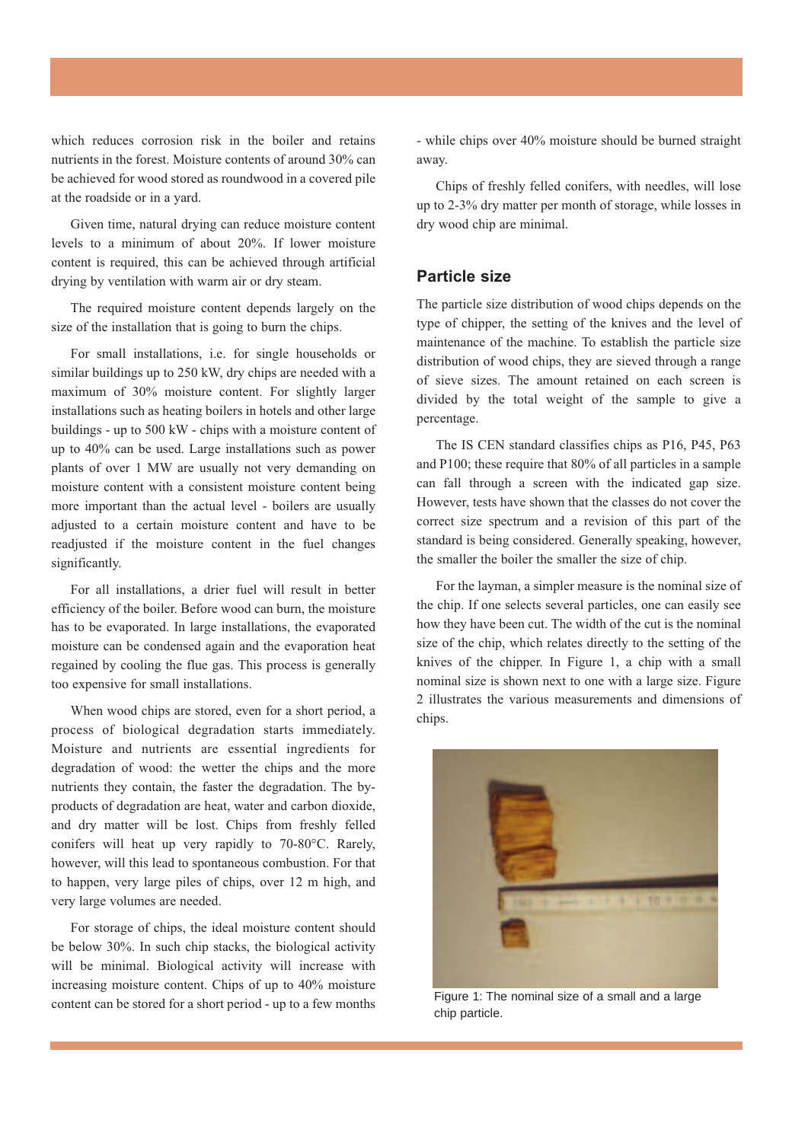which reduces corrosion risk in the boiler and retains nutrients in the forest. Moisture contents of around 30% can be achieved for wood stored as roundwood in a covered pile at the roadside or in a yard.

Given time, natural drying can reduce moisture content levels to a minimum of about 20%. If lower moisture content is required, this can be achieved through artificial drying by ventilation with warm air or dry steam.

The required moisture content depends largely on the size of the installation that is going to burn the chips.

For small installations, i.e. for single households or similar buildings up to 250 kW, dry chips are needed with a maximum of 30% moisture content. For slightly larger installations such as heating boilers in hotels and other large buildings - up to 500 kW - chips with a moisture content of up to 40% can be used. Large installations such as power plants of over 1 MW are usually not very demanding on moisture content with a consistent moisture content being more important than the actual level - boilers are usually adjusted to a certain moisture content and have to be readjusted if the moisture content in the fuel changes significantly.

For all installations, a drier fuel will result in better efficiency of the boiler. Before wood can burn, the moisture has to be evaporated. In large installations, the evaporated moisture can be condensed again and the evaporation heat regained by cooling the flue gas. This process is generally too expensive for small installations.

When wood chips are stored, even for a short period, a process of biological degradation starts immediately. Moisture and nutrients are essential ingredients for degradation of wood: the wetter the chips and the more nutrients they contain, the faster the degradation. The byproducts of degradation are heat, water and carbon dioxide, and dry matter will be lost. Chips from freshly felled conifers will heat up very rapidly to 70-80°C. Rarely, however, will this lead to spontaneous combustion. For that to happen, very large piles of chips, over 12 m high, and very large volumes are needed.

For storage of chips, the ideal moisture content should be below 30%. In such chip stacks, the biological activity will be minimal. Biological activity will increase with increasing moisture content. Chips of up to 40% moisture content can be stored for a short period - up to a few months - while chips over 40% moisture should be burned straight away.

Chips of freshly felled conifers, with needles, will lose up to 2-3% dry matter per month of storage, while losses in dry wood chip are minimal.

#### **Particle size**

The particle size distribution of wood chips depends on the type of chipper, the setting of the knives and the level of maintenance of the machine. To establish the particle size distribution of wood chips, they are sieved through a range of sieve sizes. The amount retained on each screen is divided by the total weight of the sample to give a percentage.

The IS CEN standard classifies chips as P16, P45, P63 and P100; these require that 80% of all particles in a sample can fall through a screen with the indicated gap size. However, tests have shown that the classes do not cover the correct size spectrum and a revision of this part of the standard is being considered. Generally speaking, however, the smaller the boiler the smaller the size of chip.

For the layman, a simpler measure is the nominal size of the chip. If one selects several particles, one can easily see how they have been cut. The width of the cut is the nominal size of the chip, which relates directly to the setting of the knives of the chipper. In Figure 1, a chip with a small nominal size is shown next to one with a large size. Figure 2 illustrates the various measurements and dimensions of chips.



Figure 1: The nominal size of a small and a large chip particle.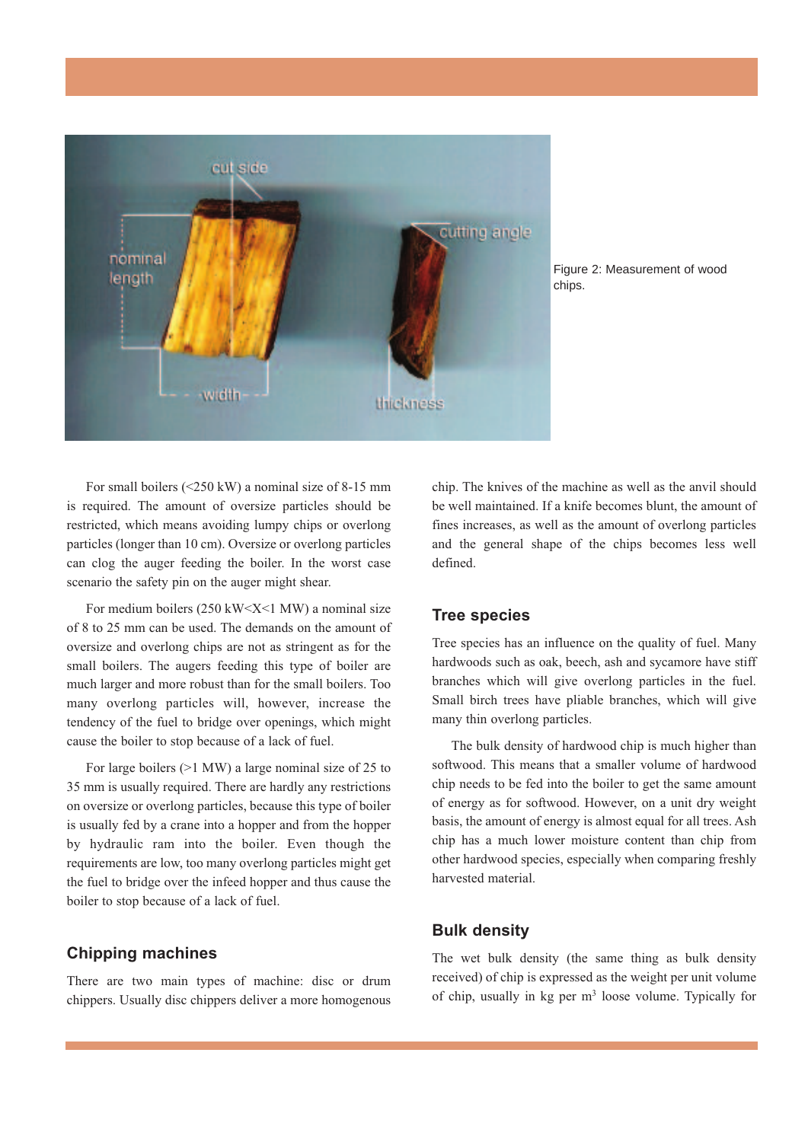

Figure 2: Measurement of wood chips.

For small boilers (<250 kW) a nominal size of 8-15 mm is required. The amount of oversize particles should be restricted, which means avoiding lumpy chips or overlong particles (longer than 10 cm). Oversize or overlong particles can clog the auger feeding the boiler. In the worst case scenario the safety pin on the auger might shear.

For medium boilers  $(250 \text{ kW} \le X \le 1 \text{ MW})$  a nominal size of 8 to 25 mm can be used. The demands on the amount of oversize and overlong chips are not as stringent as for the small boilers. The augers feeding this type of boiler are much larger and more robust than for the small boilers. Too many overlong particles will, however, increase the tendency of the fuel to bridge over openings, which might cause the boiler to stop because of a lack of fuel.

For large boilers (>1 MW) a large nominal size of 25 to 35 mm is usually required. There are hardly any restrictions on oversize or overlong particles, because this type of boiler is usually fed by a crane into a hopper and from the hopper by hydraulic ram into the boiler. Even though the requirements are low, too many overlong particles might get the fuel to bridge over the infeed hopper and thus cause the boiler to stop because of a lack of fuel.

#### **Chipping machines**

There are two main types of machine: disc or drum chippers. Usually disc chippers deliver a more homogenous

chip. The knives of the machine as well as the anvil should be well maintained. If a knife becomes blunt, the amount of fines increases, as well as the amount of overlong particles and the general shape of the chips becomes less well defined.

#### **Tree species**

Tree species has an influence on the quality of fuel. Many hardwoods such as oak, beech, ash and sycamore have stiff branches which will give overlong particles in the fuel. Small birch trees have pliable branches, which will give many thin overlong particles.

The bulk density of hardwood chip is much higher than softwood. This means that a smaller volume of hardwood chip needs to be fed into the boiler to get the same amount of energy as for softwood. However, on a unit dry weight basis, the amount of energy is almost equal for all trees. Ash chip has a much lower moisture content than chip from other hardwood species, especially when comparing freshly harvested material.

## **Bulk density**

The wet bulk density (the same thing as bulk density received) of chip is expressed as the weight per unit volume of chip, usually in kg per  $m<sup>3</sup>$  loose volume. Typically for